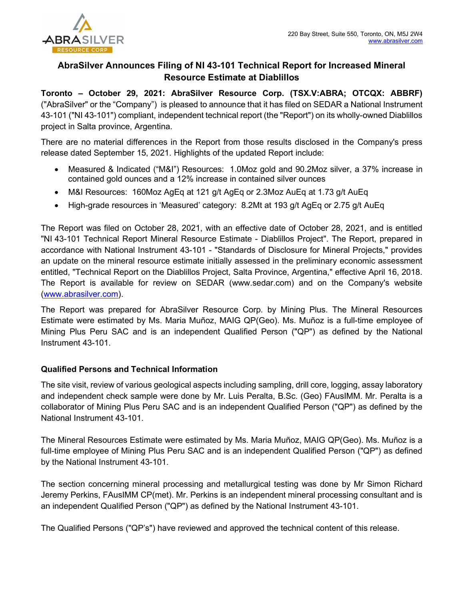

## AbraSilver Announces Filing of NI 43-101 Technical Report for Increased Mineral Resource Estimate at Diablillos

Toronto – October 29, 2021: AbraSilver Resource Corp. (TSX.V:ABRA; OTCQX: ABBRF) ("AbraSilver" or the "Company") is pleased to announce that it has filed on SEDAR a National Instrument 43-101 ("NI 43-101") compliant, independent technical report (the "Report") on its wholly-owned Diablillos project in Salta province, Argentina.

There are no material differences in the Report from those results disclosed in the Company's press release dated September 15, 2021. Highlights of the updated Report include:

- Measured & Indicated ("M&I") Resources: 1.0Moz gold and 90.2Moz silver, a 37% increase in contained gold ounces and a 12% increase in contained silver ounces
- M&I Resources: 160Moz AgEq at 121 g/t AgEq or 2.3Moz AuEq at 1.73 g/t AuEq
- High-grade resources in 'Measured' category: 8.2Mt at 193 g/t AgEq or 2.75 g/t AuEq

The Report was filed on October 28, 2021, with an effective date of October 28, 2021, and is entitled "NI 43-101 Technical Report Mineral Resource Estimate - Diablillos Project". The Report, prepared in accordance with National Instrument 43-101 - "Standards of Disclosure for Mineral Projects," provides an update on the mineral resource estimate initially assessed in the preliminary economic assessment entitled, "Technical Report on the Diablillos Project, Salta Province, Argentina," effective April 16, 2018. The Report is available for review on SEDAR (www.sedar.com) and on the Company's website (www.abrasilver.com).

The Report was prepared for AbraSilver Resource Corp. by Mining Plus. The Mineral Resources Estimate were estimated by Ms. Maria Muñoz, MAIG QP(Geo). Ms. Muñoz is a full-time employee of Mining Plus Peru SAC and is an independent Qualified Person ("QP") as defined by the National Instrument 43-101.

## Qualified Persons and Technical Information

The site visit, review of various geological aspects including sampling, drill core, logging, assay laboratory and independent check sample were done by Mr. Luis Peralta, B.Sc. (Geo) FAusIMM. Mr. Peralta is a collaborator of Mining Plus Peru SAC and is an independent Qualified Person ("QP") as defined by the National Instrument 43-101.

The Mineral Resources Estimate were estimated by Ms. Maria Muñoz, MAIG QP(Geo). Ms. Muñoz is a full-time employee of Mining Plus Peru SAC and is an independent Qualified Person ("QP") as defined by the National Instrument 43-101.

The section concerning mineral processing and metallurgical testing was done by Mr Simon Richard Jeremy Perkins, FAusIMM CP(met). Mr. Perkins is an independent mineral processing consultant and is an independent Qualified Person ("QP") as defined by the National Instrument 43-101.

The Qualified Persons ("QP's") have reviewed and approved the technical content of this release.